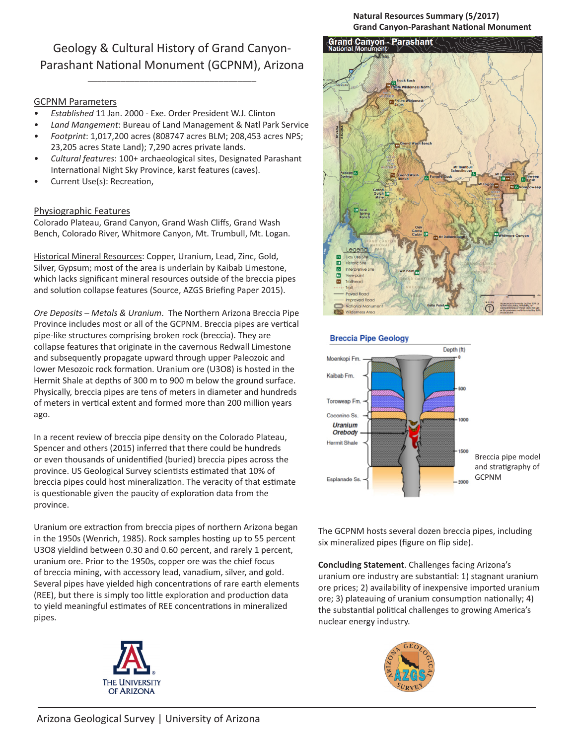Geology & Cultural History of Grand Canyon-Parashant National Monument (GCPNM), Arizona

\_\_\_\_\_\_\_\_\_\_\_\_\_\_\_\_\_\_\_\_\_\_\_\_\_\_\_\_\_\_\_\_\_\_\_\_

## GCPNM Parameters

- *• Established* 11 Jan. 2000 Exe. Order President W.J. Clinton
- *• Land Mangement*: Bureau of Land Management & Natl Park Service
- *• Footprint*: 1,017,200 acres (808747 acres BLM; 208,453 acres NPS; 23,205 acres State Land); 7,290 acres private lands.
- *• Cultural features*: 100+ archaeological sites, Designated Parashant International Night Sky Province, karst features (caves).
- Current Use(s): Recreation,

## Physiographic Features

Colorado Plateau, Grand Canyon, Grand Wash Cliffs, Grand Wash Bench, Colorado River, Whitmore Canyon, Mt. Trumbull, Mt. Logan.

Historical Mineral Resources: Copper, Uranium, Lead, Zinc, Gold, Silver, Gypsum; most of the area is underlain by Kaibab Limestone, which lacks significant mineral resources outside of the breccia pipes and solution collapse features (Source, AZGS Briefing Paper 2015).

*Ore Deposits – Metals & Uranium*. The Northern Arizona Breccia Pipe Province includes most or all of the GCPNM. Breccia pipes are vertical pipe-like structures comprising broken rock (breccia). They are collapse features that originate in the cavernous Redwall Limestone and subsequently propagate upward through upper Paleozoic and lower Mesozoic rock formation. Uranium ore (U3O8) is hosted in the Hermit Shale at depths of 300 m to 900 m below the ground surface. Physically, breccia pipes are tens of meters in diameter and hundreds of meters in vertical extent and formed more than 200 million years ago.

In a recent review of breccia pipe density on the Colorado Plateau, Spencer and others (2015) inferred that there could be hundreds or even thousands of unidentified (buried) breccia pipes across the province. US Geological Survey scientists estimated that 10% of breccia pipes could host mineralization. The veracity of that estimate is questionable given the paucity of exploration data from the province.

Uranium ore extraction from breccia pipes of northern Arizona began in the 1950s (Wenrich, 1985). Rock samples hosting up to 55 percent U3O8 yieldind between 0.30 and 0.60 percent, and rarely 1 percent, uranium ore. Prior to the 1950s, copper ore was the chief focus of breccia mining, with accessory lead, vanadium, silver, and gold. Several pipes have yielded high concentrations of rare earth elements (REE), but there is simply too little exploration and production data to yield meaningful estimates of REE concentrations in mineralized pipes.







## **Breccia Pipe Geology**



The GCPNM hosts several dozen breccia pipes, including six mineralized pipes (figure on flip side).

**Concluding Statement**. Challenges facing Arizona's uranium ore industry are substantial: 1) stagnant uranium ore prices; 2) availability of inexpensive imported uranium ore; 3) plateauing of uranium consumption nationally; 4) the substantial political challenges to growing America's nuclear energy industry.